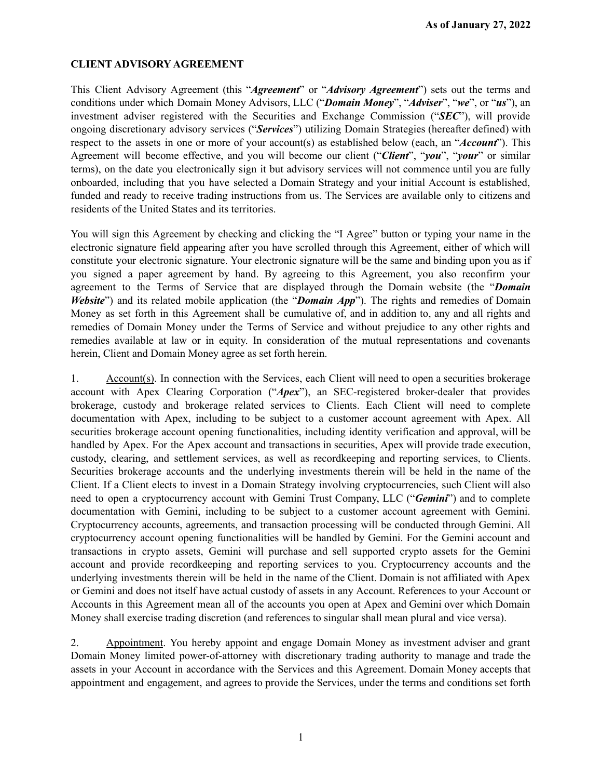## **CLIENT ADVISORY AGREEMENT**

This Client Advisory Agreement (this "*Agreement*" or "*Advisory Agreement*") sets out the terms and conditions under which Domain Money Advisors, LLC ("*Domain Money*", "*Adviser*", "*we*", or "*us*"), an investment adviser registered with the Securities and Exchange Commission ("*SEC*"), will provide ongoing discretionary advisory services ("*Services*") utilizing Domain Strategies (hereafter defined) with respect to the assets in one or more of your account(s) as established below (each, an "*Account*"). This Agreement will become effective, and you will become our client ("*Client*", "*you*", "*your*" or similar terms), on the date you electronically sign it but advisory services will not commence until you are fully onboarded, including that you have selected a Domain Strategy and your initial Account is established, funded and ready to receive trading instructions from us. The Services are available only to citizens and residents of the United States and its territories.

You will sign this Agreement by checking and clicking the "I Agree" button or typing your name in the electronic signature field appearing after you have scrolled through this Agreement, either of which will constitute your electronic signature. Your electronic signature will be the same and binding upon you as if you signed a paper agreement by hand. By agreeing to this Agreement, you also reconfirm your agreement to the Terms of Service that are displayed through the Domain website (the "*Domain Website*") and its related mobile application (the "*Domain App*"). The rights and remedies of Domain Money as set forth in this Agreement shall be cumulative of, and in addition to, any and all rights and remedies of Domain Money under the Terms of Service and without prejudice to any other rights and remedies available at law or in equity. In consideration of the mutual representations and covenants herein, Client and Domain Money agree as set forth herein.

1. Account(s). In connection with the Services, each Client will need to open a securities brokerage account with Apex Clearing Corporation ("*Apex*"), an SEC-registered broker-dealer that provides brokerage, custody and brokerage related services to Clients. Each Client will need to complete documentation with Apex, including to be subject to a customer account agreement with Apex. All securities brokerage account opening functionalities, including identity verification and approval, will be handled by Apex. For the Apex account and transactions in securities, Apex will provide trade execution, custody, clearing, and settlement services, as well as recordkeeping and reporting services, to Clients. Securities brokerage accounts and the underlying investments therein will be held in the name of the Client. If a Client elects to invest in a Domain Strategy involving cryptocurrencies, such Client will also need to open a cryptocurrency account with Gemini Trust Company, LLC ("*Gemini*") and to complete documentation with Gemini, including to be subject to a customer account agreement with Gemini. Cryptocurrency accounts, agreements, and transaction processing will be conducted through Gemini. All cryptocurrency account opening functionalities will be handled by Gemini. For the Gemini account and transactions in crypto assets, Gemini will purchase and sell supported crypto assets for the Gemini account and provide recordkeeping and reporting services to you. Cryptocurrency accounts and the underlying investments therein will be held in the name of the Client. Domain is not affiliated with Apex or Gemini and does not itself have actual custody of assets in any Account. References to your Account or Accounts in this Agreement mean all of the accounts you open at Apex and Gemini over which Domain Money shall exercise trading discretion (and references to singular shall mean plural and vice versa).

2. Appointment. You hereby appoint and engage Domain Money as investment adviser and grant Domain Money limited power-of-attorney with discretionary trading authority to manage and trade the assets in your Account in accordance with the Services and this Agreement. Domain Money accepts that appointment and engagement, and agrees to provide the Services, under the terms and conditions set forth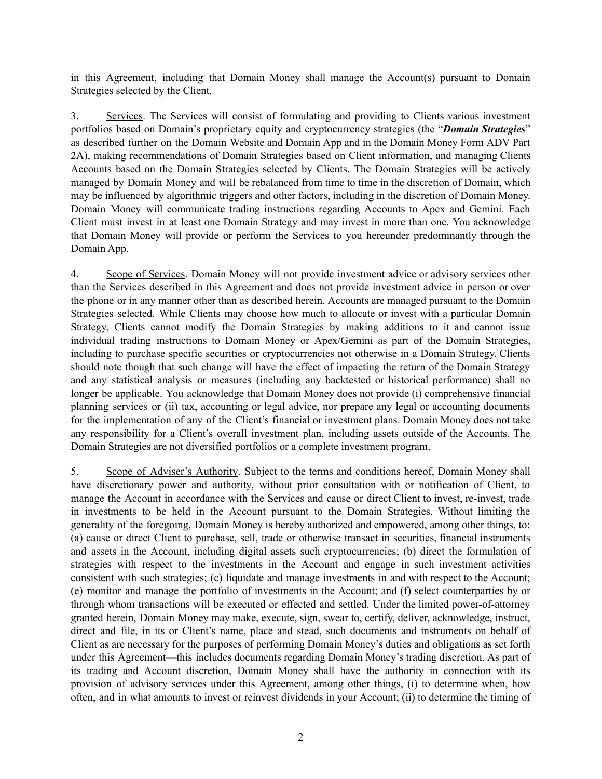in this Agreement, including that Domain Money shall manage the Account(s) pursuant to Domain Strategies selected by the Client.

3. Services. The Services will consist of formulating and providing to Clients various investment portfolios based on Domain's proprietary equity and cryptocurrency strategies (the "*Domain Strategies*" as described further on the Domain Website and Domain App and in the Domain Money Form ADV Part 2A), making recommendations of Domain Strategies based on Client information, and managing Clients Accounts based on the Domain Strategies selected by Clients. The Domain Strategies will be actively managed by Domain Money and will be rebalanced from time to time in the discretion of Domain, which may be influenced by algorithmic triggers and other factors, including in the discretion of Domain Money. Domain Money will communicate trading instructions regarding Accounts to Apex and Gemini. Each Client must invest in at least one Domain Strategy and may invest in more than one. You acknowledge that Domain Money will provide or perform the Services to you hereunder predominantly through the Domain App.

4. Scope of Services. Domain Money will not provide investment advice or advisory services other than the Services described in this Agreement and does not provide investment advice in person or over the phone or in any manner other than as described herein. Accounts are managed pursuant to the Domain Strategies selected. While Clients may choose how much to allocate or invest with a particular Domain Strategy, Clients cannot modify the Domain Strategies by making additions to it and cannot issue individual trading instructions to Domain Money or Apex/Gemini as part of the Domain Strategies, including to purchase specific securities or cryptocurrencies not otherwise in a Domain Strategy. Clients should note though that such change will have the effect of impacting the return of the Domain Strategy and any statistical analysis or measures (including any backtested or historical performance) shall no longer be applicable. You acknowledge that Domain Money does not provide (i) comprehensive financial planning services or (ii) tax, accounting or legal advice, nor prepare any legal or accounting documents for the implementation of any of the Client's financial or investment plans. Domain Money does not take any responsibility for a Client's overall investment plan, including assets outside of the Accounts. The Domain Strategies are not diversified portfolios or a complete investment program.

5. Scope of Adviser's Authority. Subject to the terms and conditions hereof, Domain Money shall have discretionary power and authority, without prior consultation with or notification of Client, to manage the Account in accordance with the Services and cause or direct Client to invest, re-invest, trade in investments to be held in the Account pursuant to the Domain Strategies. Without limiting the generality of the foregoing, Domain Money is hereby authorized and empowered, among other things, to: (a) cause or direct Client to purchase, sell, trade or otherwise transact in securities, financial instruments and assets in the Account, including digital assets such cryptocurrencies; (b) direct the formulation of strategies with respect to the investments in the Account and engage in such investment activities consistent with such strategies; (c) liquidate and manage investments in and with respect to the Account; (e) monitor and manage the portfolio of investments in the Account; and (f) select counterparties by or through whom transactions will be executed or effected and settled. Under the limited power-of-attorney granted herein, Domain Money may make, execute, sign, swear to, certify, deliver, acknowledge, instruct, direct and file, in its or Client's name, place and stead, such documents and instruments on behalf of Client as are necessary for the purposes of performing Domain Money's duties and obligations as set forth under this Agreement—this includes documents regarding Domain Money's trading discretion. As part of its trading and Account discretion, Domain Money shall have the authority in connection with its provision of advisory services under this Agreement, among other things, (i) to determine when, how often, and in what amounts to invest or reinvest dividends in your Account; (ii) to determine the timing of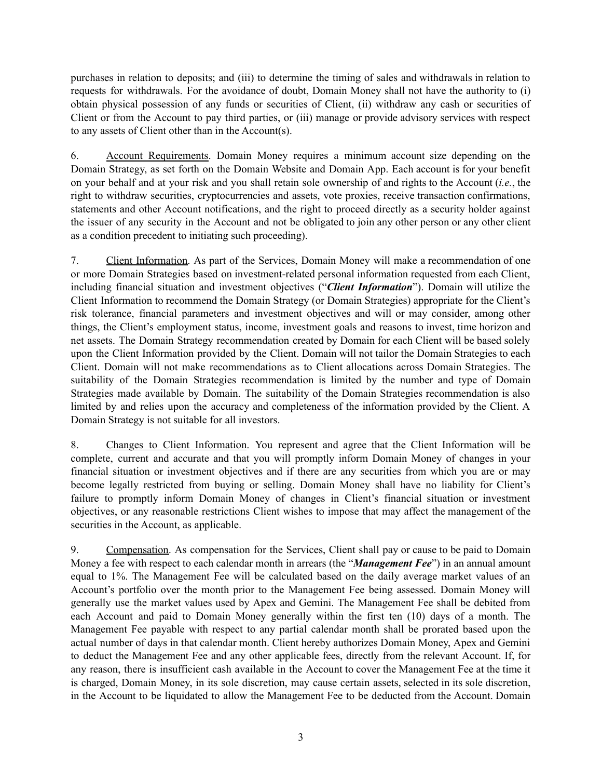purchases in relation to deposits; and (iii) to determine the timing of sales and withdrawals in relation to requests for withdrawals. For the avoidance of doubt, Domain Money shall not have the authority to (i) obtain physical possession of any funds or securities of Client, (ii) withdraw any cash or securities of Client or from the Account to pay third parties, or (iii) manage or provide advisory services with respect to any assets of Client other than in the Account(s).

6. Account Requirements. Domain Money requires a minimum account size depending on the Domain Strategy, as set forth on the Domain Website and Domain App. Each account is for your benefit on your behalf and at your risk and you shall retain sole ownership of and rights to the Account (*i.e.*, the right to withdraw securities, cryptocurrencies and assets, vote proxies, receive transaction confirmations, statements and other Account notifications, and the right to proceed directly as a security holder against the issuer of any security in the Account and not be obligated to join any other person or any other client as a condition precedent to initiating such proceeding).

7. Client Information. As part of the Services, Domain Money will make a recommendation of one or more Domain Strategies based on investment-related personal information requested from each Client, including financial situation and investment objectives ("*Client Information*"). Domain will utilize the Client Information to recommend the Domain Strategy (or Domain Strategies) appropriate for the Client's risk tolerance, financial parameters and investment objectives and will or may consider, among other things, the Client's employment status, income, investment goals and reasons to invest, time horizon and net assets. The Domain Strategy recommendation created by Domain for each Client will be based solely upon the Client Information provided by the Client. Domain will not tailor the Domain Strategies to each Client. Domain will not make recommendations as to Client allocations across Domain Strategies. The suitability of the Domain Strategies recommendation is limited by the number and type of Domain Strategies made available by Domain. The suitability of the Domain Strategies recommendation is also limited by and relies upon the accuracy and completeness of the information provided by the Client. A Domain Strategy is not suitable for all investors.

8. Changes to Client Information. You represent and agree that the Client Information will be complete, current and accurate and that you will promptly inform Domain Money of changes in your financial situation or investment objectives and if there are any securities from which you are or may become legally restricted from buying or selling. Domain Money shall have no liability for Client's failure to promptly inform Domain Money of changes in Client's financial situation or investment objectives, or any reasonable restrictions Client wishes to impose that may affect the management of the securities in the Account, as applicable.

9. Compensation. As compensation for the Services, Client shall pay or cause to be paid to Domain Money a fee with respect to each calendar month in arrears (the "*Management Fee*") in an annual amount equal to 1%. The Management Fee will be calculated based on the daily average market values of an Account's portfolio over the month prior to the Management Fee being assessed. Domain Money will generally use the market values used by Apex and Gemini. The Management Fee shall be debited from each Account and paid to Domain Money generally within the first ten (10) days of a month. The Management Fee payable with respect to any partial calendar month shall be prorated based upon the actual number of days in that calendar month. Client hereby authorizes Domain Money, Apex and Gemini to deduct the Management Fee and any other applicable fees, directly from the relevant Account. If, for any reason, there is insufficient cash available in the Account to cover the Management Fee at the time it is charged, Domain Money, in its sole discretion, may cause certain assets, selected in its sole discretion, in the Account to be liquidated to allow the Management Fee to be deducted from the Account. Domain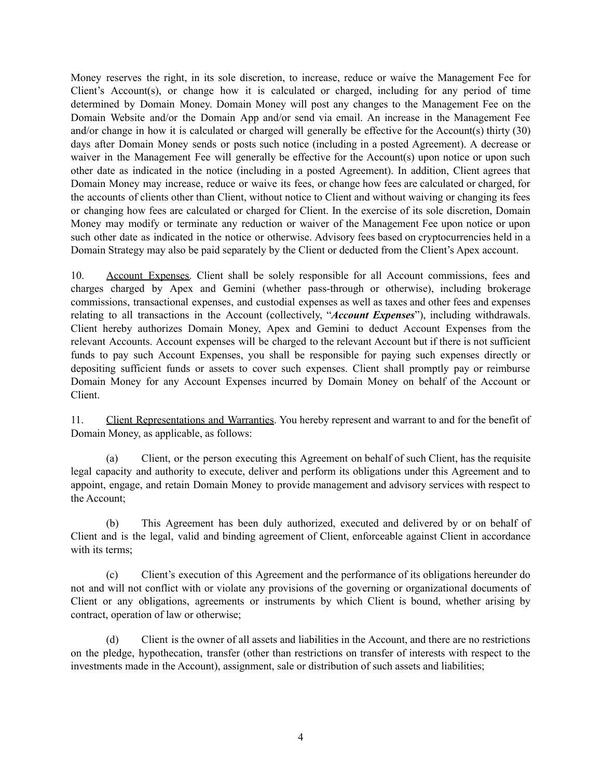Money reserves the right, in its sole discretion, to increase, reduce or waive the Management Fee for Client's Account(s), or change how it is calculated or charged, including for any period of time determined by Domain Money. Domain Money will post any changes to the Management Fee on the Domain Website and/or the Domain App and/or send via email. An increase in the Management Fee and/or change in how it is calculated or charged will generally be effective for the Account(s) thirty (30) days after Domain Money sends or posts such notice (including in a posted Agreement). A decrease or waiver in the Management Fee will generally be effective for the Account(s) upon notice or upon such other date as indicated in the notice (including in a posted Agreement). In addition, Client agrees that Domain Money may increase, reduce or waive its fees, or change how fees are calculated or charged, for the accounts of clients other than Client, without notice to Client and without waiving or changing its fees or changing how fees are calculated or charged for Client. In the exercise of its sole discretion, Domain Money may modify or terminate any reduction or waiver of the Management Fee upon notice or upon such other date as indicated in the notice or otherwise. Advisory fees based on cryptocurrencies held in a Domain Strategy may also be paid separately by the Client or deducted from the Client's Apex account.

10. Account Expenses. Client shall be solely responsible for all Account commissions, fees and charges charged by Apex and Gemini (whether pass-through or otherwise), including brokerage commissions, transactional expenses, and custodial expenses as well as taxes and other fees and expenses relating to all transactions in the Account (collectively, "*Account Expenses*"), including withdrawals. Client hereby authorizes Domain Money, Apex and Gemini to deduct Account Expenses from the relevant Accounts. Account expenses will be charged to the relevant Account but if there is not sufficient funds to pay such Account Expenses, you shall be responsible for paying such expenses directly or depositing sufficient funds or assets to cover such expenses. Client shall promptly pay or reimburse Domain Money for any Account Expenses incurred by Domain Money on behalf of the Account or Client.

11. Client Representations and Warranties. You hereby represent and warrant to and for the benefit of Domain Money, as applicable, as follows:

(a) Client, or the person executing this Agreement on behalf of such Client, has the requisite legal capacity and authority to execute, deliver and perform its obligations under this Agreement and to appoint, engage, and retain Domain Money to provide management and advisory services with respect to the Account;

(b) This Agreement has been duly authorized, executed and delivered by or on behalf of Client and is the legal, valid and binding agreement of Client, enforceable against Client in accordance with its terms;

(c) Client's execution of this Agreement and the performance of its obligations hereunder do not and will not conflict with or violate any provisions of the governing or organizational documents of Client or any obligations, agreements or instruments by which Client is bound, whether arising by contract, operation of law or otherwise;

(d) Client is the owner of all assets and liabilities in the Account, and there are no restrictions on the pledge, hypothecation, transfer (other than restrictions on transfer of interests with respect to the investments made in the Account), assignment, sale or distribution of such assets and liabilities;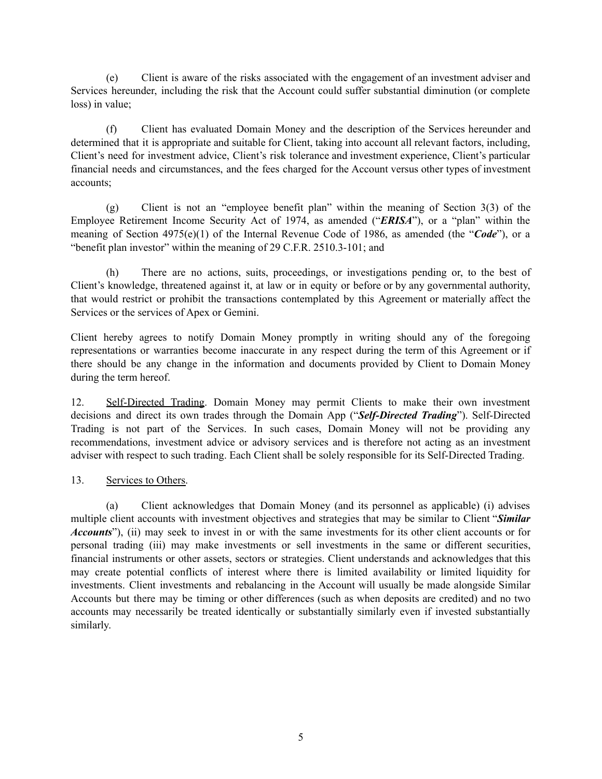(e) Client is aware of the risks associated with the engagement of an investment adviser and Services hereunder, including the risk that the Account could suffer substantial diminution (or complete loss) in value;

(f) Client has evaluated Domain Money and the description of the Services hereunder and determined that it is appropriate and suitable for Client, taking into account all relevant factors, including, Client's need for investment advice, Client's risk tolerance and investment experience, Client's particular financial needs and circumstances, and the fees charged for the Account versus other types of investment accounts;

(g) Client is not an "employee benefit plan" within the meaning of Section 3(3) of the Employee Retirement Income Security Act of 1974, as amended ("*ERISA*"), or a "plan" within the meaning of Section 4975(e)(1) of the Internal Revenue Code of 1986, as amended (the "*Code*"), or a "benefit plan investor" within the meaning of 29 C.F.R. 2510.3-101; and

(h) There are no actions, suits, proceedings, or investigations pending or, to the best of Client's knowledge, threatened against it, at law or in equity or before or by any governmental authority, that would restrict or prohibit the transactions contemplated by this Agreement or materially affect the Services or the services of Apex or Gemini.

Client hereby agrees to notify Domain Money promptly in writing should any of the foregoing representations or warranties become inaccurate in any respect during the term of this Agreement or if there should be any change in the information and documents provided by Client to Domain Money during the term hereof.

12. Self-Directed Trading. Domain Money may permit Clients to make their own investment decisions and direct its own trades through the Domain App ("*Self-Directed Trading*"). Self-Directed Trading is not part of the Services. In such cases, Domain Money will not be providing any recommendations, investment advice or advisory services and is therefore not acting as an investment adviser with respect to such trading. Each Client shall be solely responsible for its Self-Directed Trading.

# 13. Services to Others.

(a) Client acknowledges that Domain Money (and its personnel as applicable) (i) advises multiple client accounts with investment objectives and strategies that may be similar to Client "*Similar Accounts*"), (ii) may seek to invest in or with the same investments for its other client accounts or for personal trading (iii) may make investments or sell investments in the same or different securities, financial instruments or other assets, sectors or strategies. Client understands and acknowledges that this may create potential conflicts of interest where there is limited availability or limited liquidity for investments. Client investments and rebalancing in the Account will usually be made alongside Similar Accounts but there may be timing or other differences (such as when deposits are credited) and no two accounts may necessarily be treated identically or substantially similarly even if invested substantially similarly.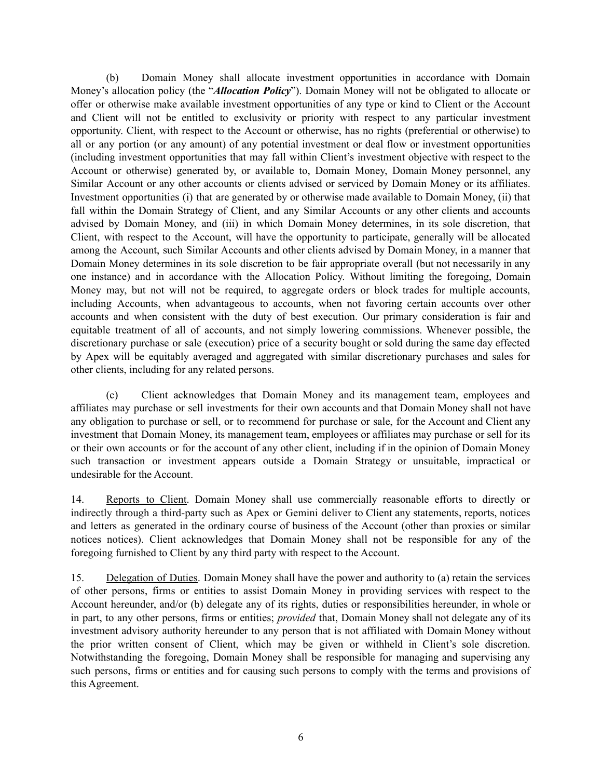(b) Domain Money shall allocate investment opportunities in accordance with Domain Money's allocation policy (the "*Allocation Policy*"). Domain Money will not be obligated to allocate or offer or otherwise make available investment opportunities of any type or kind to Client or the Account and Client will not be entitled to exclusivity or priority with respect to any particular investment opportunity. Client, with respect to the Account or otherwise, has no rights (preferential or otherwise) to all or any portion (or any amount) of any potential investment or deal flow or investment opportunities (including investment opportunities that may fall within Client's investment objective with respect to the Account or otherwise) generated by, or available to, Domain Money, Domain Money personnel, any Similar Account or any other accounts or clients advised or serviced by Domain Money or its affiliates. Investment opportunities (i) that are generated by or otherwise made available to Domain Money, (ii) that fall within the Domain Strategy of Client, and any Similar Accounts or any other clients and accounts advised by Domain Money, and (iii) in which Domain Money determines, in its sole discretion, that Client, with respect to the Account, will have the opportunity to participate, generally will be allocated among the Account, such Similar Accounts and other clients advised by Domain Money, in a manner that Domain Money determines in its sole discretion to be fair appropriate overall (but not necessarily in any one instance) and in accordance with the Allocation Policy. Without limiting the foregoing, Domain Money may, but not will not be required, to aggregate orders or block trades for multiple accounts, including Accounts, when advantageous to accounts, when not favoring certain accounts over other accounts and when consistent with the duty of best execution. Our primary consideration is fair and equitable treatment of all of accounts, and not simply lowering commissions. Whenever possible, the discretionary purchase or sale (execution) price of a security bought or sold during the same day effected by Apex will be equitably averaged and aggregated with similar discretionary purchases and sales for other clients, including for any related persons.

(c) Client acknowledges that Domain Money and its management team, employees and affiliates may purchase or sell investments for their own accounts and that Domain Money shall not have any obligation to purchase or sell, or to recommend for purchase or sale, for the Account and Client any investment that Domain Money, its management team, employees or affiliates may purchase or sell for its or their own accounts or for the account of any other client, including if in the opinion of Domain Money such transaction or investment appears outside a Domain Strategy or unsuitable, impractical or undesirable for the Account.

14. Reports to Client. Domain Money shall use commercially reasonable efforts to directly or indirectly through a third-party such as Apex or Gemini deliver to Client any statements, reports, notices and letters as generated in the ordinary course of business of the Account (other than proxies or similar notices notices). Client acknowledges that Domain Money shall not be responsible for any of the foregoing furnished to Client by any third party with respect to the Account.

15. Delegation of Duties. Domain Money shall have the power and authority to (a) retain the services of other persons, firms or entities to assist Domain Money in providing services with respect to the Account hereunder, and/or (b) delegate any of its rights, duties or responsibilities hereunder, in whole or in part, to any other persons, firms or entities; *provided* that, Domain Money shall not delegate any of its investment advisory authority hereunder to any person that is not affiliated with Domain Money without the prior written consent of Client, which may be given or withheld in Client's sole discretion. Notwithstanding the foregoing, Domain Money shall be responsible for managing and supervising any such persons, firms or entities and for causing such persons to comply with the terms and provisions of this Agreement.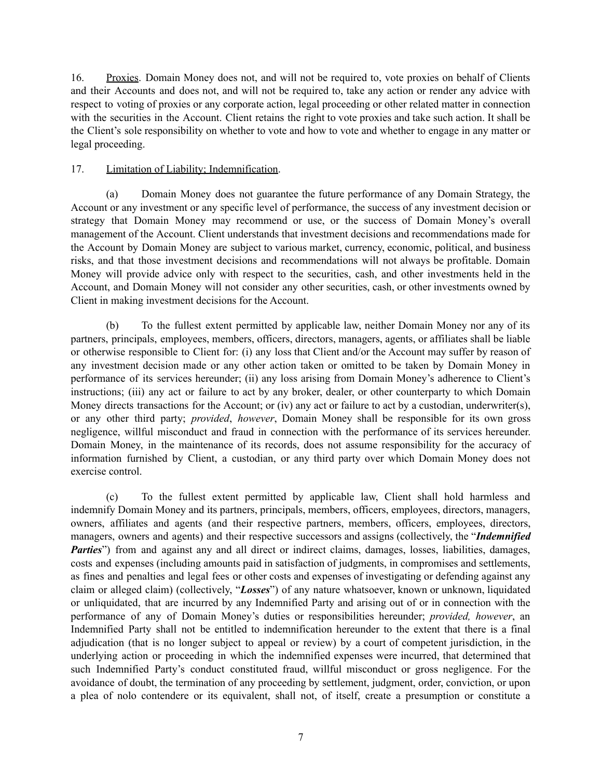16. Proxies. Domain Money does not, and will not be required to, vote proxies on behalf of Clients and their Accounts and does not, and will not be required to, take any action or render any advice with respect to voting of proxies or any corporate action, legal proceeding or other related matter in connection with the securities in the Account. Client retains the right to vote proxies and take such action. It shall be the Client's sole responsibility on whether to vote and how to vote and whether to engage in any matter or legal proceeding.

## 17. Limitation of Liability; Indemnification.

(a) Domain Money does not guarantee the future performance of any Domain Strategy, the Account or any investment or any specific level of performance, the success of any investment decision or strategy that Domain Money may recommend or use, or the success of Domain Money's overall management of the Account. Client understands that investment decisions and recommendations made for the Account by Domain Money are subject to various market, currency, economic, political, and business risks, and that those investment decisions and recommendations will not always be profitable. Domain Money will provide advice only with respect to the securities, cash, and other investments held in the Account, and Domain Money will not consider any other securities, cash, or other investments owned by Client in making investment decisions for the Account.

(b) To the fullest extent permitted by applicable law, neither Domain Money nor any of its partners, principals, employees, members, officers, directors, managers, agents, or affiliates shall be liable or otherwise responsible to Client for: (i) any loss that Client and/or the Account may suffer by reason of any investment decision made or any other action taken or omitted to be taken by Domain Money in performance of its services hereunder; (ii) any loss arising from Domain Money's adherence to Client's instructions; (iii) any act or failure to act by any broker, dealer, or other counterparty to which Domain Money directs transactions for the Account; or (iv) any act or failure to act by a custodian, underwriter(s), or any other third party; *provided*, *however*, Domain Money shall be responsible for its own gross negligence, willful misconduct and fraud in connection with the performance of its services hereunder. Domain Money, in the maintenance of its records, does not assume responsibility for the accuracy of information furnished by Client, a custodian, or any third party over which Domain Money does not exercise control.

(c) To the fullest extent permitted by applicable law, Client shall hold harmless and indemnify Domain Money and its partners, principals, members, officers, employees, directors, managers, owners, affiliates and agents (and their respective partners, members, officers, employees, directors, managers, owners and agents) and their respective successors and assigns (collectively, the "*Indemnified Parties*") from and against any and all direct or indirect claims, damages, losses, liabilities, damages, costs and expenses (including amounts paid in satisfaction of judgments, in compromises and settlements, as fines and penalties and legal fees or other costs and expenses of investigating or defending against any claim or alleged claim) (collectively, "*Losses*") of any nature whatsoever, known or unknown, liquidated or unliquidated, that are incurred by any Indemnified Party and arising out of or in connection with the performance of any of Domain Money's duties or responsibilities hereunder; *provided, however*, an Indemnified Party shall not be entitled to indemnification hereunder to the extent that there is a final adjudication (that is no longer subject to appeal or review) by a court of competent jurisdiction, in the underlying action or proceeding in which the indemnified expenses were incurred, that determined that such Indemnified Party's conduct constituted fraud, willful misconduct or gross negligence. For the avoidance of doubt, the termination of any proceeding by settlement, judgment, order, conviction, or upon a plea of nolo contendere or its equivalent, shall not, of itself, create a presumption or constitute a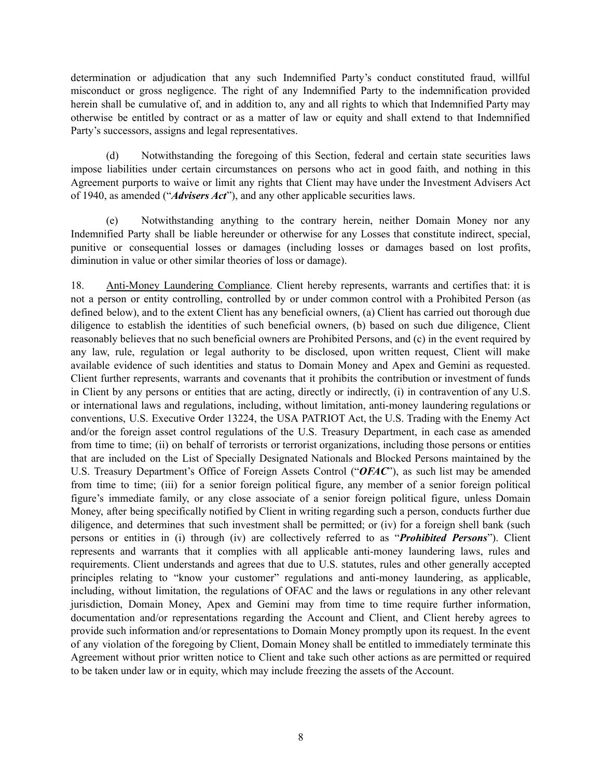determination or adjudication that any such Indemnified Party's conduct constituted fraud, willful misconduct or gross negligence. The right of any Indemnified Party to the indemnification provided herein shall be cumulative of, and in addition to, any and all rights to which that Indemnified Party may otherwise be entitled by contract or as a matter of law or equity and shall extend to that Indemnified Party's successors, assigns and legal representatives.

(d) Notwithstanding the foregoing of this Section, federal and certain state securities laws impose liabilities under certain circumstances on persons who act in good faith, and nothing in this Agreement purports to waive or limit any rights that Client may have under the Investment Advisers Act of 1940, as amended ("*Advisers Act*"), and any other applicable securities laws.

(e) Notwithstanding anything to the contrary herein, neither Domain Money nor any Indemnified Party shall be liable hereunder or otherwise for any Losses that constitute indirect, special, punitive or consequential losses or damages (including losses or damages based on lost profits, diminution in value or other similar theories of loss or damage).

18. Anti-Money Laundering Compliance. Client hereby represents, warrants and certifies that: it is not a person or entity controlling, controlled by or under common control with a Prohibited Person (as defined below), and to the extent Client has any beneficial owners, (a) Client has carried out thorough due diligence to establish the identities of such beneficial owners, (b) based on such due diligence, Client reasonably believes that no such beneficial owners are Prohibited Persons, and (c) in the event required by any law, rule, regulation or legal authority to be disclosed, upon written request, Client will make available evidence of such identities and status to Domain Money and Apex and Gemini as requested. Client further represents, warrants and covenants that it prohibits the contribution or investment of funds in Client by any persons or entities that are acting, directly or indirectly, (i) in contravention of any U.S. or international laws and regulations, including, without limitation, anti-money laundering regulations or conventions, U.S. Executive Order 13224, the USA PATRIOT Act, the U.S. Trading with the Enemy Act and/or the foreign asset control regulations of the U.S. Treasury Department, in each case as amended from time to time; (ii) on behalf of terrorists or terrorist organizations, including those persons or entities that are included on the List of Specially Designated Nationals and Blocked Persons maintained by the U.S. Treasury Department's Office of Foreign Assets Control ("*OFAC*"), as such list may be amended from time to time; (iii) for a senior foreign political figure, any member of a senior foreign political figure's immediate family, or any close associate of a senior foreign political figure, unless Domain Money, after being specifically notified by Client in writing regarding such a person, conducts further due diligence, and determines that such investment shall be permitted; or (iv) for a foreign shell bank (such persons or entities in (i) through (iv) are collectively referred to as "*Prohibited Persons*"). Client represents and warrants that it complies with all applicable anti-money laundering laws, rules and requirements. Client understands and agrees that due to U.S. statutes, rules and other generally accepted principles relating to "know your customer" regulations and anti-money laundering, as applicable, including, without limitation, the regulations of OFAC and the laws or regulations in any other relevant jurisdiction, Domain Money, Apex and Gemini may from time to time require further information, documentation and/or representations regarding the Account and Client, and Client hereby agrees to provide such information and/or representations to Domain Money promptly upon its request. In the event of any violation of the foregoing by Client, Domain Money shall be entitled to immediately terminate this Agreement without prior written notice to Client and take such other actions as are permitted or required to be taken under law or in equity, which may include freezing the assets of the Account.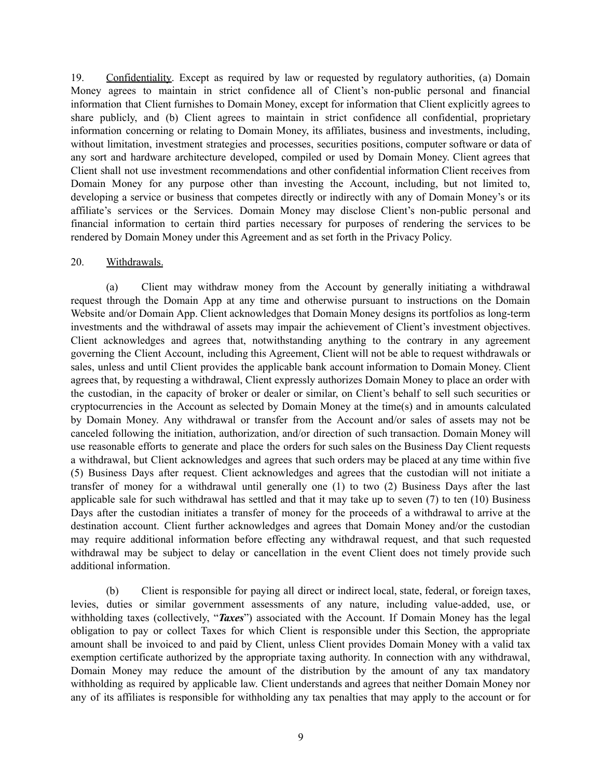19. Confidentiality. Except as required by law or requested by regulatory authorities, (a) Domain Money agrees to maintain in strict confidence all of Client's non-public personal and financial information that Client furnishes to Domain Money, except for information that Client explicitly agrees to share publicly, and (b) Client agrees to maintain in strict confidence all confidential, proprietary information concerning or relating to Domain Money, its affiliates, business and investments, including, without limitation, investment strategies and processes, securities positions, computer software or data of any sort and hardware architecture developed, compiled or used by Domain Money. Client agrees that Client shall not use investment recommendations and other confidential information Client receives from Domain Money for any purpose other than investing the Account, including, but not limited to, developing a service or business that competes directly or indirectly with any of Domain Money's or its affiliate's services or the Services. Domain Money may disclose Client's non-public personal and financial information to certain third parties necessary for purposes of rendering the services to be rendered by Domain Money under this Agreement and as set forth in the Privacy Policy.

#### 20. Withdrawals.

(a) Client may withdraw money from the Account by generally initiating a withdrawal request through the Domain App at any time and otherwise pursuant to instructions on the Domain Website and/or Domain App. Client acknowledges that Domain Money designs its portfolios as long-term investments and the withdrawal of assets may impair the achievement of Client's investment objectives. Client acknowledges and agrees that, notwithstanding anything to the contrary in any agreement governing the Client Account, including this Agreement, Client will not be able to request withdrawals or sales, unless and until Client provides the applicable bank account information to Domain Money. Client agrees that, by requesting a withdrawal, Client expressly authorizes Domain Money to place an order with the custodian, in the capacity of broker or dealer or similar, on Client's behalf to sell such securities or cryptocurrencies in the Account as selected by Domain Money at the time(s) and in amounts calculated by Domain Money. Any withdrawal or transfer from the Account and/or sales of assets may not be canceled following the initiation, authorization, and/or direction of such transaction. Domain Money will use reasonable efforts to generate and place the orders for such sales on the Business Day Client requests a withdrawal, but Client acknowledges and agrees that such orders may be placed at any time within five (5) Business Days after request. Client acknowledges and agrees that the custodian will not initiate a transfer of money for a withdrawal until generally one (1) to two (2) Business Days after the last applicable sale for such withdrawal has settled and that it may take up to seven (7) to ten (10) Business Days after the custodian initiates a transfer of money for the proceeds of a withdrawal to arrive at the destination account. Client further acknowledges and agrees that Domain Money and/or the custodian may require additional information before effecting any withdrawal request, and that such requested withdrawal may be subject to delay or cancellation in the event Client does not timely provide such additional information.

(b) Client is responsible for paying all direct or indirect local, state, federal, or foreign taxes, levies, duties or similar government assessments of any nature, including value-added, use, or withholding taxes (collectively, "*Taxes*") associated with the Account. If Domain Money has the legal obligation to pay or collect Taxes for which Client is responsible under this Section, the appropriate amount shall be invoiced to and paid by Client, unless Client provides Domain Money with a valid tax exemption certificate authorized by the appropriate taxing authority. In connection with any withdrawal, Domain Money may reduce the amount of the distribution by the amount of any tax mandatory withholding as required by applicable law. Client understands and agrees that neither Domain Money nor any of its affiliates is responsible for withholding any tax penalties that may apply to the account or for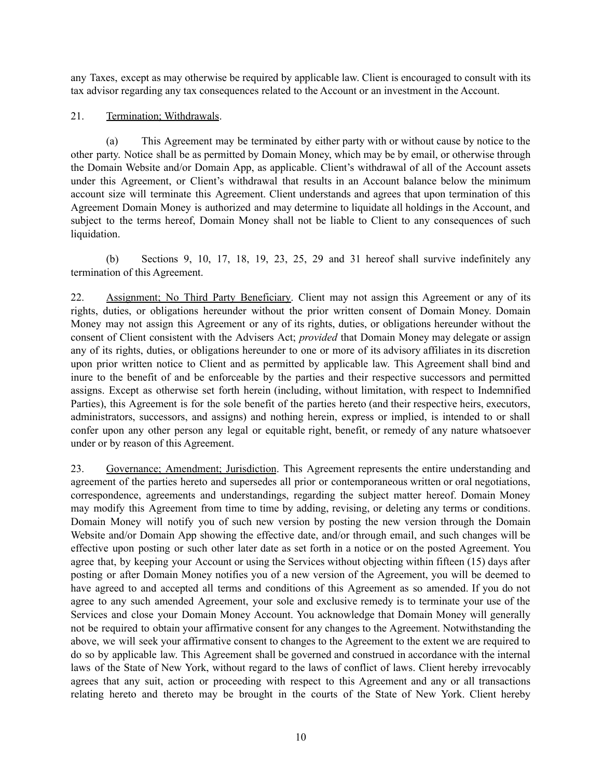any Taxes, except as may otherwise be required by applicable law. Client is encouraged to consult with its tax advisor regarding any tax consequences related to the Account or an investment in the Account.

## 21. Termination; Withdrawals.

(a) This Agreement may be terminated by either party with or without cause by notice to the other party. Notice shall be as permitted by Domain Money, which may be by email, or otherwise through the Domain Website and/or Domain App, as applicable. Client's withdrawal of all of the Account assets under this Agreement, or Client's withdrawal that results in an Account balance below the minimum account size will terminate this Agreement. Client understands and agrees that upon termination of this Agreement Domain Money is authorized and may determine to liquidate all holdings in the Account, and subject to the terms hereof, Domain Money shall not be liable to Client to any consequences of such liquidation.

(b) Sections 9, 10, 17, 18, 19, 23, 25, 29 and 31 hereof shall survive indefinitely any termination of this Agreement.

22. Assignment; No Third Party Beneficiary. Client may not assign this Agreement or any of its rights, duties, or obligations hereunder without the prior written consent of Domain Money. Domain Money may not assign this Agreement or any of its rights, duties, or obligations hereunder without the consent of Client consistent with the Advisers Act; *provided* that Domain Money may delegate or assign any of its rights, duties, or obligations hereunder to one or more of its advisory affiliates in its discretion upon prior written notice to Client and as permitted by applicable law. This Agreement shall bind and inure to the benefit of and be enforceable by the parties and their respective successors and permitted assigns. Except as otherwise set forth herein (including, without limitation, with respect to Indemnified Parties), this Agreement is for the sole benefit of the parties hereto (and their respective heirs, executors, administrators, successors, and assigns) and nothing herein, express or implied, is intended to or shall confer upon any other person any legal or equitable right, benefit, or remedy of any nature whatsoever under or by reason of this Agreement.

23. Governance; Amendment; Jurisdiction. This Agreement represents the entire understanding and agreement of the parties hereto and supersedes all prior or contemporaneous written or oral negotiations, correspondence, agreements and understandings, regarding the subject matter hereof. Domain Money may modify this Agreement from time to time by adding, revising, or deleting any terms or conditions. Domain Money will notify you of such new version by posting the new version through the Domain Website and/or Domain App showing the effective date, and/or through email, and such changes will be effective upon posting or such other later date as set forth in a notice or on the posted Agreement. You agree that, by keeping your Account or using the Services without objecting within fifteen (15) days after posting or after Domain Money notifies you of a new version of the Agreement, you will be deemed to have agreed to and accepted all terms and conditions of this Agreement as so amended. If you do not agree to any such amended Agreement, your sole and exclusive remedy is to terminate your use of the Services and close your Domain Money Account. You acknowledge that Domain Money will generally not be required to obtain your affirmative consent for any changes to the Agreement. Notwithstanding the above, we will seek your affirmative consent to changes to the Agreement to the extent we are required to do so by applicable law. This Agreement shall be governed and construed in accordance with the internal laws of the State of New York, without regard to the laws of conflict of laws. Client hereby irrevocably agrees that any suit, action or proceeding with respect to this Agreement and any or all transactions relating hereto and thereto may be brought in the courts of the State of New York. Client hereby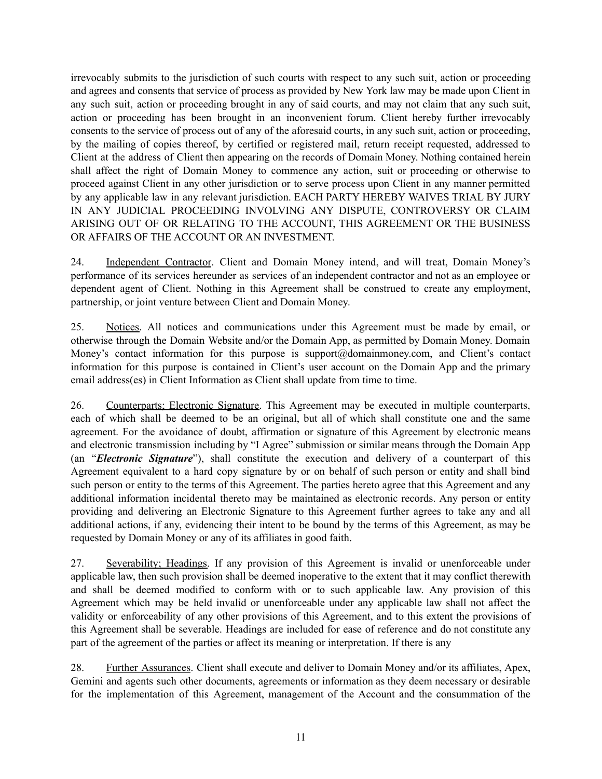irrevocably submits to the jurisdiction of such courts with respect to any such suit, action or proceeding and agrees and consents that service of process as provided by New York law may be made upon Client in any such suit, action or proceeding brought in any of said courts, and may not claim that any such suit, action or proceeding has been brought in an inconvenient forum. Client hereby further irrevocably consents to the service of process out of any of the aforesaid courts, in any such suit, action or proceeding, by the mailing of copies thereof, by certified or registered mail, return receipt requested, addressed to Client at the address of Client then appearing on the records of Domain Money. Nothing contained herein shall affect the right of Domain Money to commence any action, suit or proceeding or otherwise to proceed against Client in any other jurisdiction or to serve process upon Client in any manner permitted by any applicable law in any relevant jurisdiction. EACH PARTY HEREBY WAIVES TRIAL BY JURY IN ANY JUDICIAL PROCEEDING INVOLVING ANY DISPUTE, CONTROVERSY OR CLAIM ARISING OUT OF OR RELATING TO THE ACCOUNT, THIS AGREEMENT OR THE BUSINESS OR AFFAIRS OF THE ACCOUNT OR AN INVESTMENT.

24. Independent Contractor. Client and Domain Money intend, and will treat, Domain Money's performance of its services hereunder as services of an independent contractor and not as an employee or dependent agent of Client. Nothing in this Agreement shall be construed to create any employment, partnership, or joint venture between Client and Domain Money.

25. Notices. All notices and communications under this Agreement must be made by email, or otherwise through the Domain Website and/or the Domain App, as permitted by Domain Money. Domain Money's contact information for this purpose is support@domainmoney.com, and Client's contact information for this purpose is contained in Client's user account on the Domain App and the primary email address(es) in Client Information as Client shall update from time to time.

26. Counterparts; Electronic Signature. This Agreement may be executed in multiple counterparts, each of which shall be deemed to be an original, but all of which shall constitute one and the same agreement. For the avoidance of doubt, affirmation or signature of this Agreement by electronic means and electronic transmission including by "I Agree" submission or similar means through the Domain App (an "*Electronic Signature*"), shall constitute the execution and delivery of a counterpart of this Agreement equivalent to a hard copy signature by or on behalf of such person or entity and shall bind such person or entity to the terms of this Agreement. The parties hereto agree that this Agreement and any additional information incidental thereto may be maintained as electronic records. Any person or entity providing and delivering an Electronic Signature to this Agreement further agrees to take any and all additional actions, if any, evidencing their intent to be bound by the terms of this Agreement, as may be requested by Domain Money or any of its affiliates in good faith.

27. Severability; Headings. If any provision of this Agreement is invalid or unenforceable under applicable law, then such provision shall be deemed inoperative to the extent that it may conflict therewith and shall be deemed modified to conform with or to such applicable law. Any provision of this Agreement which may be held invalid or unenforceable under any applicable law shall not affect the validity or enforceability of any other provisions of this Agreement, and to this extent the provisions of this Agreement shall be severable. Headings are included for ease of reference and do not constitute any part of the agreement of the parties or affect its meaning or interpretation. If there is any

28. Further Assurances. Client shall execute and deliver to Domain Money and/or its affiliates, Apex, Gemini and agents such other documents, agreements or information as they deem necessary or desirable for the implementation of this Agreement, management of the Account and the consummation of the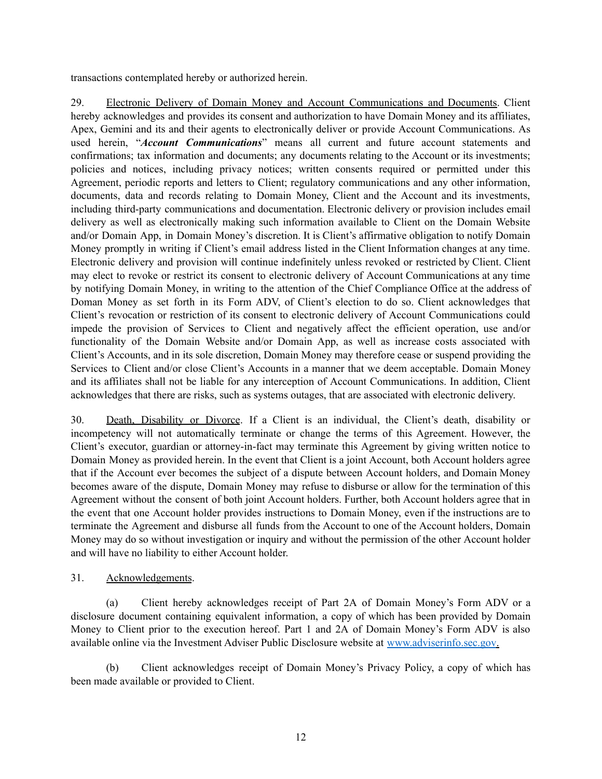transactions contemplated hereby or authorized herein.

29. Electronic Delivery of Domain Money and Account Communications and Documents. Client hereby acknowledges and provides its consent and authorization to have Domain Money and its affiliates, Apex, Gemini and its and their agents to electronically deliver or provide Account Communications. As used herein, "*Account Communications*" means all current and future account statements and confirmations; tax information and documents; any documents relating to the Account or its investments; policies and notices, including privacy notices; written consents required or permitted under this Agreement, periodic reports and letters to Client; regulatory communications and any other information, documents, data and records relating to Domain Money, Client and the Account and its investments, including third-party communications and documentation. Electronic delivery or provision includes email delivery as well as electronically making such information available to Client on the Domain Website and/or Domain App, in Domain Money's discretion. It is Client's affirmative obligation to notify Domain Money promptly in writing if Client's email address listed in the Client Information changes at any time. Electronic delivery and provision will continue indefinitely unless revoked or restricted by Client. Client may elect to revoke or restrict its consent to electronic delivery of Account Communications at any time by notifying Domain Money, in writing to the attention of the Chief Compliance Office at the address of Doman Money as set forth in its Form ADV, of Client's election to do so. Client acknowledges that Client's revocation or restriction of its consent to electronic delivery of Account Communications could impede the provision of Services to Client and negatively affect the efficient operation, use and/or functionality of the Domain Website and/or Domain App, as well as increase costs associated with Client's Accounts, and in its sole discretion, Domain Money may therefore cease or suspend providing the Services to Client and/or close Client's Accounts in a manner that we deem acceptable. Domain Money and its affiliates shall not be liable for any interception of Account Communications. In addition, Client acknowledges that there are risks, such as systems outages, that are associated with electronic delivery.

30. Death, Disability or Divorce. If a Client is an individual, the Client's death, disability or incompetency will not automatically terminate or change the terms of this Agreement. However, the Client's executor, guardian or attorney-in-fact may terminate this Agreement by giving written notice to Domain Money as provided herein. In the event that Client is a joint Account, both Account holders agree that if the Account ever becomes the subject of a dispute between Account holders, and Domain Money becomes aware of the dispute, Domain Money may refuse to disburse or allow for the termination of this Agreement without the consent of both joint Account holders. Further, both Account holders agree that in the event that one Account holder provides instructions to Domain Money, even if the instructions are to terminate the Agreement and disburse all funds from the Account to one of the Account holders, Domain Money may do so without investigation or inquiry and without the permission of the other Account holder and will have no liability to either Account holder.

# 31. Acknowledgements.

(a) Client hereby acknowledges receipt of Part 2A of Domain Money's Form ADV or a disclosure document containing equivalent information, a copy of which has been provided by Domain Money to Client prior to the execution hereof. Part 1 and 2A of Domain Money's Form ADV is also available online via the Investment Adviser Public Disclosure website at [www.adviserinfo.sec.gov](http://www.adviserinfo.sec.gov).

(b) Client acknowledges receipt of Domain Money's Privacy Policy, a copy of which has been made available or provided to Client.